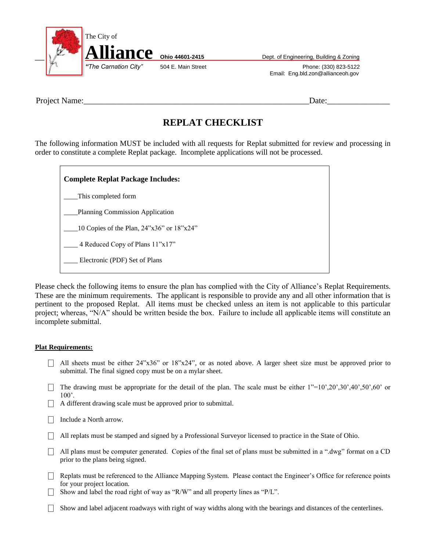

Email: Eng.bld.zon@allianceoh.gov

Project Name:\_\_\_\_\_\_\_\_\_\_\_\_\_\_\_\_\_\_\_\_\_\_\_\_\_\_\_\_\_\_\_\_\_\_\_\_\_\_\_\_\_\_\_\_\_\_\_\_\_\_\_\_\_\_Date:\_\_\_\_\_\_\_\_\_\_\_\_\_\_\_

## **REPLAT CHECKLIST**

The following information MUST be included with all requests for Replat submitted for review and processing in order to constitute a complete Replat package. Incomplete applications will not be processed.

**Complete Replat Package Includes:** \_\_\_\_This completed form \_\_\_\_Planning Commission Application  $\frac{10}{24}$  Copies of the Plan, 24"x36" or 18"x24" 4 Reduced Copy of Plans  $11"x17"$ \_\_\_\_ Electronic (PDF) Set of Plans

Please check the following items to ensure the plan has complied with the City of Alliance's Replat Requirements. These are the minimum requirements. The applicant is responsible to provide any and all other information that is pertinent to the proposed Replat. All items must be checked unless an item is not applicable to this particular project; whereas, "N/A" should be written beside the box. Failure to include all applicable items will constitute an incomplete submittal.

## **Plat Requirements:**

- $\Box$  All sheets must be either 24"x36" or 18"x24", or as noted above. A larger sheet size must be approved prior to submittal. The final signed copy must be on a mylar sheet.
- The drawing must be appropriate for the detail of the plan. The scale must be either  $1"=10",20",30",40",50",60"$  or 100'.
- $\Box$  A different drawing scale must be approved prior to submittal.
- Include a North arrow.
- $\Box$  All replats must be stamped and signed by a Professional Surveyor licensed to practice in the State of Ohio.
- $\Box$  All plans must be computer generated. Copies of the final set of plans must be submitted in a ".dwg" format on a CD prior to the plans being signed.
- $\Box$  Replats must be referenced to the Alliance Mapping System. Please contact the Engineer's Office for reference points for your project location.
- $\Box$  Show and label the road right of way as "R/W" and all property lines as "P/L".
- $\Box$  Show and label adjacent roadways with right of way widths along with the bearings and distances of the centerlines.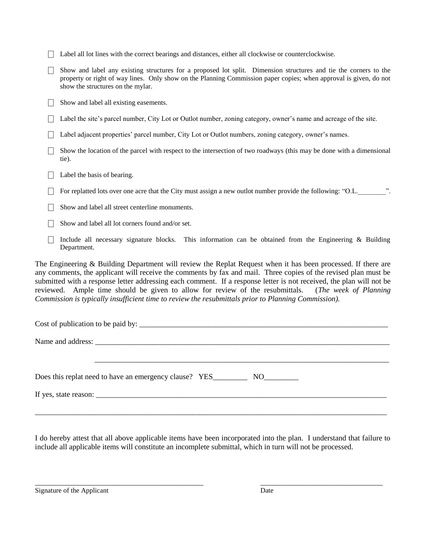- $\Box$  Label all lot lines with the correct bearings and distances, either all clockwise or counterclockwise.
- $\Box$  Show and label any existing structures for a proposed lot split. Dimension structures and tie the corners to the property or right of way lines. Only show on the Planning Commission paper copies; when approval is given, do not show the structures on the mylar.
- $\Box$  Show and label all existing easements.
- □ Label the site's parcel number, City Lot or Outlot number, zoning category, owner's name and acreage of the site.
- □ Label adjacent properties' parcel number, City Lot or Outlot numbers, zoning category, owner's names.
- $\Box$  Show the location of the parcel with respect to the intersection of two roadways (this may be done with a dimensional tie).
- $\Box$  Label the basis of bearing.
- $\Box$  For replatted lots over one acre that the City must assign a new outlot number provide the following: "O.L.
- Show and label all street centerline monuments.
- $\Box$  Show and label all lot corners found and/or set.
- $\Box$  Include all necessary signature blocks. This information can be obtained from the Engineering & Building Department.

The Engineering & Building Department will review the Replat Request when it has been processed. If there are any comments, the applicant will receive the comments by fax and mail. Three copies of the revised plan must be submitted with a response letter addressing each comment. If a response letter is not received, the plan will not be reviewed. Ample time should be given to allow for review of the resubmittals. (*The week of Planning Commission is typically insufficient time to review the resubmittals prior to Planning Commission).*

| Does this replat need to have an emergency clause? YES NO NO |  |
|--------------------------------------------------------------|--|
|                                                              |  |
|                                                              |  |

I do hereby attest that all above applicable items have been incorporated into the plan. I understand that failure to include all applicable items will constitute an incomplete submittal, which in turn will not be processed.

\_\_\_\_\_\_\_\_\_\_\_\_\_\_\_\_\_\_\_\_\_\_\_\_\_\_\_\_\_\_\_\_\_\_\_\_\_\_\_\_\_\_\_\_ \_\_\_\_\_\_\_\_\_\_\_\_\_\_\_\_\_\_\_\_\_\_\_\_\_\_\_\_\_\_\_\_

Signature of the Applicant Date